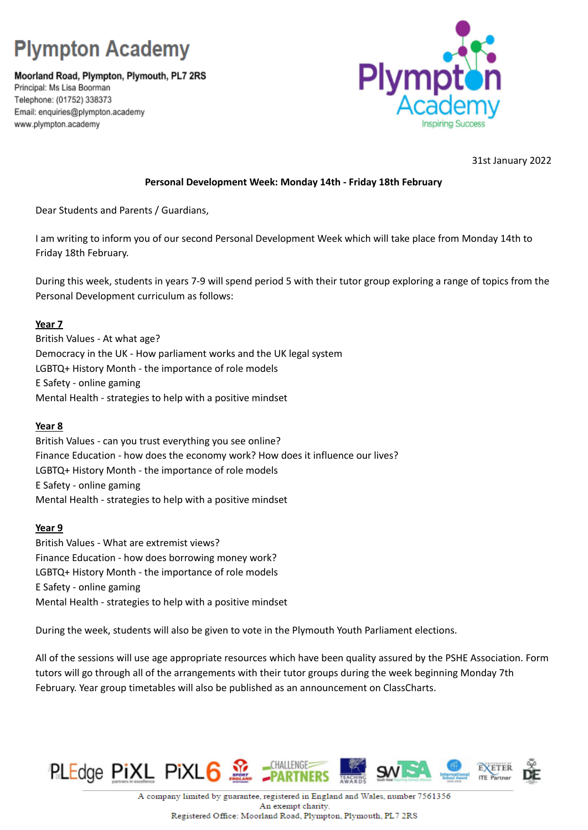# **Plympton Academy**

Moorland Road, Plympton, Plymouth, PL7 2RS Principal: Ms Lisa Boorman Telephone: (01752) 338373 Email: enquiries@plympton.academy www.plympton.academy



31st January 2022

## **Personal Development Week: Monday 14th - Friday 18th February**

Dear Students and Parents / Guardians,

I am writing to inform you of our second Personal Development Week which will take place from Monday 14th to Friday 18th February.

During this week, students in years 7-9 will spend period 5 with their tutor group exploring a range of topics from the Personal Development curriculum as follows:

## **Year 7**

British Values - At what age? Democracy in the UK - How parliament works and the UK legal system LGBTQ+ History Month - the importance of role models E Safety - online gaming Mental Health - strategies to help with a positive mindset

### **Year 8**

British Values - can you trust everything you see online? Finance Education - how does the economy work? How does it influence our lives? LGBTQ+ History Month - the importance of role models E Safety - online gaming Mental Health - strategies to help with a positive mindset

### **Year 9**

British Values - What are extremist views? Finance Education - how does borrowing money work? LGBTQ+ History Month - the importance of role models E Safety - online gaming Mental Health - strategies to help with a positive mindset

During the week, students will also be given to vote in the Plymouth Youth Parliament elections.

All of the sessions will use age appropriate resources which have been quality assured by the PSHE Association. Form tutors will go through all of the arrangements with their tutor groups during the week beginning Monday 7th February. Year group timetables will also be published as an announcement on ClassCharts.